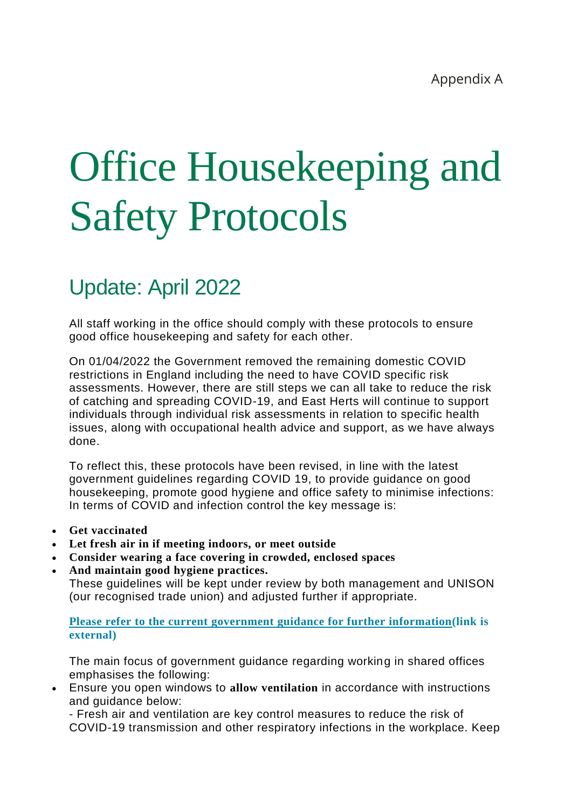# Office Housekeeping and Safety Protocols

# Update: April 2022

All staff working in the office should comply with these protocols to ensure good office housekeeping and safety for each other.

On 01/04/2022 the Government removed the remaining domestic COVID restrictions in England including the need to have COVID specific risk assessments. However, there are still steps we can all take to reduce the risk of catching and spreading COVID-19, and East Herts will continue to support individuals through individual risk assessments in relation to specific health issues, along with occupational health advice and support, as we have always done.

To reflect this, these protocols have been revised, in line with the latest government guidelines regarding COVID 19, to provide guidance on good housekeeping, promote good hygiene and office safety to minimise infections: In terms of COVID and infection control the key message is:

- **Get vaccinated**
- **Let fresh air in if meeting indoors, or meet outside**
- **Consider wearing a face covering in crowded, enclosed spaces**
- **And maintain good hygiene practices.**

These guidelines will be kept under review by both management and UNISON (our recognised trade union) and adjusted further if appropriate.

**Please refer to the current government guidance for further [information\(link](https://www.gov.uk/guidance/reducing-the-spread-of-respiratory-infections-including-covid-19-in-the-workplace) is [external\)](https://www.gov.uk/guidance/reducing-the-spread-of-respiratory-infections-including-covid-19-in-the-workplace)**

The main focus of government guidance regarding working in shared offices emphasises the following:

 Ensure you open windows to **allow ventilation** in accordance with instructions and guidance below:

- Fresh air and ventilation are key control measures to reduce the risk of COVID-19 transmission and other respiratory infections in the workplace. Keep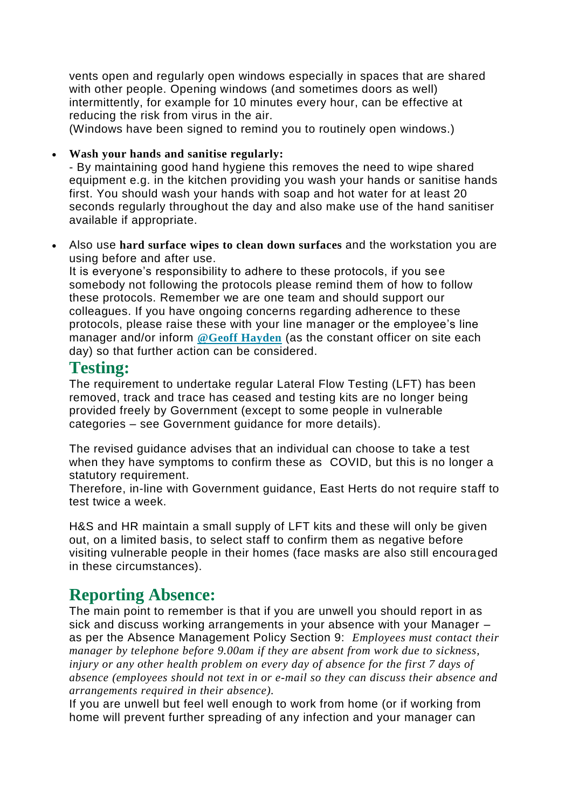vents open and regularly open windows especially in spaces that are shared with other people. Opening windows (and sometimes doors as well) intermittently, for example for 10 minutes every hour, can be effective at reducing the risk from virus in the air.

(Windows have been signed to remind you to routinely open windows.)

**Wash your hands and sanitise regularly:**

- By maintaining good hand hygiene this removes the need to wipe shared equipment e.g. in the kitchen providing you wash your hands or sanitise hands first. You should wash your hands with soap and hot water for at least 20 seconds regularly throughout the day and also make use of the hand sanitiser available if appropriate.

 Also use **hard surface wipes to clean down surfaces** and the workstation you are using before and after use.

It is everyone's responsibility to adhere to these protocols, if you see somebody not following the protocols please remind them of how to follow these protocols. Remember we are one team and should support our colleagues. If you have ongoing concerns regarding adherence to these protocols, please raise these with your line manager or the employee's line manager and/or inform **@Geoff [Hayden](https://myeastherts.invotra.com/users/geoff-hayden)** (as the constant officer on site each day) so that further action can be considered.

#### **Testing:**

The requirement to undertake regular Lateral Flow Testing (LFT) has been removed, track and trace has ceased and testing kits are no longer being provided freely by Government (except to some people in vulnerable categories – see Government guidance for more details).

The revised guidance advises that an individual can choose to take a test when they have symptoms to confirm these as COVID, but this is no longer a statutory requirement.

Therefore, in-line with Government guidance, East Herts do not require staff to test twice a week.

H&S and HR maintain a small supply of LFT kits and these will only be given out, on a limited basis, to select staff to confirm them as negative before visiting vulnerable people in their homes (face masks are also still encouraged in these circumstances).

#### **Reporting Absence:**

The main point to remember is that if you are unwell you should report in as sick and discuss working arrangements in your absence with your Manager – as per the Absence Management Policy Section 9: *Employees must contact their manager by telephone before 9.00am if they are absent from work due to sickness, injury or any other health problem on every day of absence for the first 7 days of absence (employees should not text in or e-mail so they can discuss their absence and arrangements required in their absence).*

If you are unwell but feel well enough to work from home (or if working from home will prevent further spreading of any infection and your manager can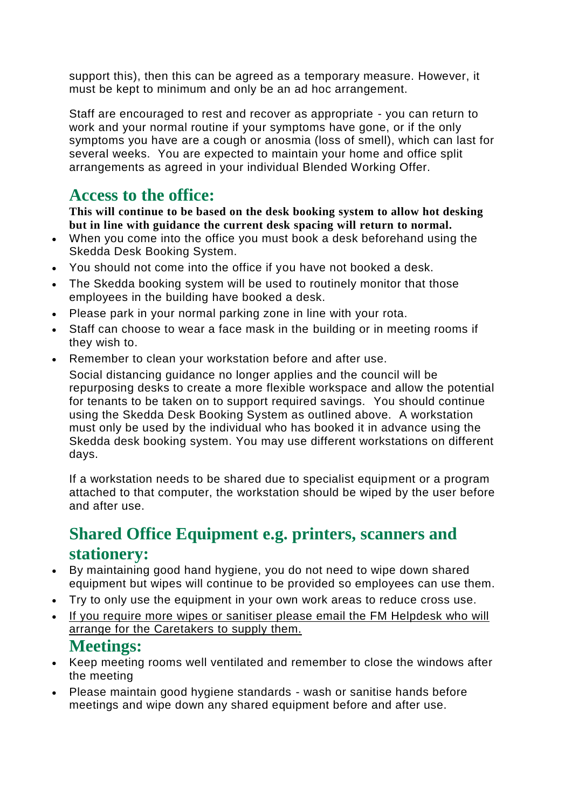support this), then this can be agreed as a temporary measure. However, it must be kept to minimum and only be an ad hoc arrangement.

Staff are encouraged to rest and recover as appropriate - you can return to work and your normal routine if your symptoms have gone, or if the only symptoms you have are a cough or anosmia (loss of smell), which can last for several weeks. You are expected to maintain your home and office split arrangements as agreed in your individual Blended Working Offer.

## **Access to the office:**

**This will continue to be based on the desk booking system to allow hot desking but in line with guidance the current desk spacing will return to normal.**

- When you come into the office you must book a desk beforehand using the Skedda Desk Booking System.
- You should not come into the office if you have not booked a desk.
- The Skedda booking system will be used to routinely monitor that those employees in the building have booked a desk.
- Please park in your normal parking zone in line with your rota.
- Staff can choose to wear a face mask in the building or in meeting rooms if they wish to.
- Remember to clean your workstation before and after use.

Social distancing guidance no longer applies and the council will be repurposing desks to create a more flexible workspace and allow the potential for tenants to be taken on to support required savings. You should continue using the Skedda Desk Booking System as outlined above. A workstation must only be used by the individual who has booked it in advance using the Skedda desk booking system. You may use different workstations on different days.

If a workstation needs to be shared due to specialist equipment or a program attached to that computer, the workstation should be wiped by the user before and after use.

# **Shared Office Equipment e.g. printers, scanners and stationery:**

- By maintaining good hand hygiene, you do not need to wipe down shared equipment but wipes will continue to be provided so employees can use them.
- Try to only use the equipment in your own work areas to reduce cross use.
- If you require more wipes or sanitiser please email the FM Helpdesk who will arrange for the Caretakers to supply them.

#### **Meetings:**

- Keep meeting rooms well ventilated and remember to close the windows after the meeting
- Please maintain good hygiene standards wash or sanitise hands before meetings and wipe down any shared equipment before and after use.